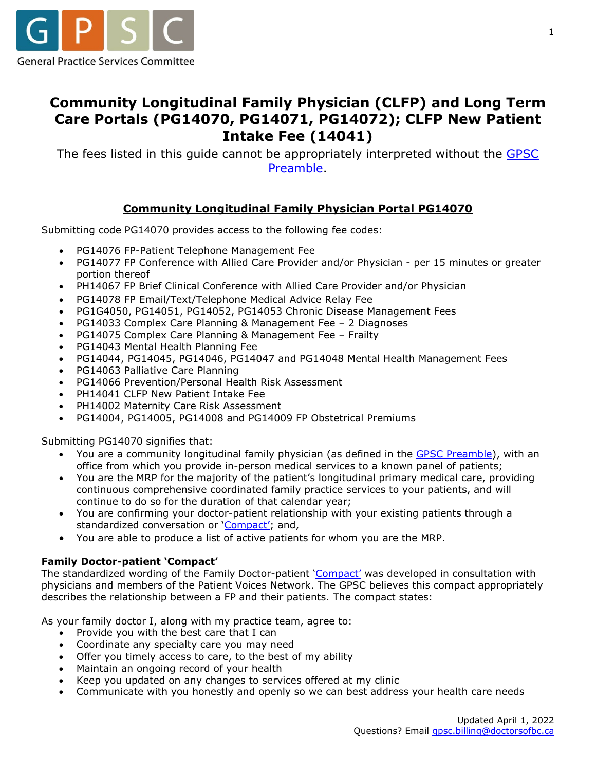

# **Community Longitudinal Family Physician (CLFP) and Long Term Care Portals (PG14070, PG14071, PG14072); CLFP New Patient Intake Fee (14041)**

The fees listed in this guide cannot be appropriately interpreted without the GPSC [Preamble.](https://gpscbc.ca/sites/default/files/uploads/GPSC_Preamble-Billing-Guide_20211001.pdf)

# **Community Longitudinal Family Physician Portal PG14070**

Submitting code PG14070 provides access to the following fee codes:

- PG14076 FP-Patient Telephone Management Fee
- PG14077 FP Conference with Allied Care Provider and/or Physician per 15 minutes or greater portion thereof
- PH14067 FP Brief Clinical Conference with Allied Care Provider and/or Physician
- PG14078 FP Email/Text/Telephone Medical Advice Relay Fee
- PG1G4050, PG14051, PG14052, PG14053 Chronic Disease Management Fees
- PG14033 Complex Care Planning & Management Fee 2 Diagnoses
- PG14075 Complex Care Planning & Management Fee Frailty
- PG14043 Mental Health Planning Fee
- PG14044, PG14045, PG14046, PG14047 and PG14048 Mental Health Management Fees
- PG14063 Palliative Care Planning
- PG14066 Prevention/Personal Health Risk Assessment
- PH14041 CLFP New Patient Intake Fee
- PH14002 Maternity Care Risk Assessment
- PG14004, PG14005, PG14008 and PG14009 FP Obstetrical Premiums

Submitting PG14070 signifies that:

- You are a community longitudinal family physician (as defined in the [GPSC Preamble\)](https://gpscbc.ca/sites/default/files/uploads/GPSC_Preamble-Billing-Guide_20211001.pdf), with an office from which you provide in-person medical services to a known panel of patients;
- You are the MRP for the majority of the patient's longitudinal primary medical care, providing continuous comprehensive coordinated family practice services to your patients, and will continue to do so for the duration of that calendar year;
- You are confirming your doctor-patient relationship with your existing patients through a standardized conversation or ['Compact';](https://gpscbc.ca/sites/default/files/uploads/Incentive%20Program%20Compact%20Family%20physician-patient%20%28ID%20269971%29.pdf) and,
- You are able to produce a list of active patients for whom you are the MRP.

#### **Family Doctor-patient 'Compact'**

The standardized wording of the Family Doctor-patient ['Compact'](https://gpscbc.ca/sites/default/files/uploads/Incentive%20Program%20Compact%20Family%20physician-patient%20%28ID%20269971%29.pdf) was developed in consultation with physicians and members of the Patient Voices Network. The GPSC believes this compact appropriately describes the relationship between a FP and their patients. The compact states:

As your family doctor I, along with my practice team, agree to:

- Provide you with the best care that I can
- Coordinate any specialty care you may need
- Offer you timely access to care, to the best of my ability
- Maintain an ongoing record of your health
- Keep you updated on any changes to services offered at my clinic
- Communicate with you honestly and openly so we can best address your health care needs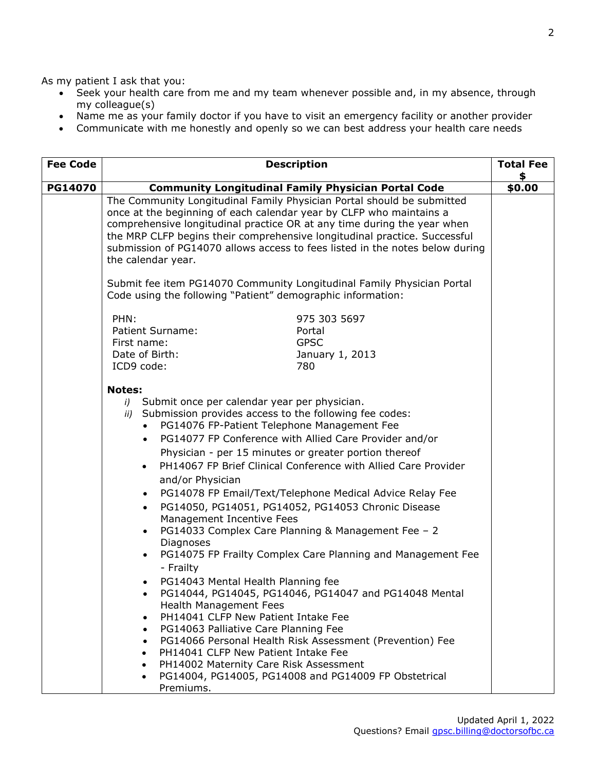As my patient I ask that you:

- Seek your health care from me and my team whenever possible and, in my absence, through my colleague(s)
- Name me as your family doctor if you have to visit an emergency facility or another provider
- Communicate with me honestly and openly so we can best address your health care needs

| <b>Fee Code</b> | <b>Description</b>                                                                                                                                                                                                                                                                                                                                                                                                                                                                                                                                                                                                                                                                                                                                                                                                                                                                                                                                                                                                                                                                                                                                                                                  | <b>Total Fee</b><br>\$ |
|-----------------|-----------------------------------------------------------------------------------------------------------------------------------------------------------------------------------------------------------------------------------------------------------------------------------------------------------------------------------------------------------------------------------------------------------------------------------------------------------------------------------------------------------------------------------------------------------------------------------------------------------------------------------------------------------------------------------------------------------------------------------------------------------------------------------------------------------------------------------------------------------------------------------------------------------------------------------------------------------------------------------------------------------------------------------------------------------------------------------------------------------------------------------------------------------------------------------------------------|------------------------|
| <b>PG14070</b>  | <b>Community Longitudinal Family Physician Portal Code</b>                                                                                                                                                                                                                                                                                                                                                                                                                                                                                                                                                                                                                                                                                                                                                                                                                                                                                                                                                                                                                                                                                                                                          |                        |
|                 | The Community Longitudinal Family Physician Portal should be submitted<br>once at the beginning of each calendar year by CLFP who maintains a<br>comprehensive longitudinal practice OR at any time during the year when<br>the MRP CLFP begins their comprehensive longitudinal practice. Successful<br>submission of PG14070 allows access to fees listed in the notes below during<br>the calendar year.<br>Submit fee item PG14070 Community Longitudinal Family Physician Portal                                                                                                                                                                                                                                                                                                                                                                                                                                                                                                                                                                                                                                                                                                               |                        |
|                 | Code using the following "Patient" demographic information:                                                                                                                                                                                                                                                                                                                                                                                                                                                                                                                                                                                                                                                                                                                                                                                                                                                                                                                                                                                                                                                                                                                                         |                        |
|                 | PHN:<br>975 303 5697<br>Patient Surname:<br>Portal<br><b>GPSC</b><br>First name:<br>Date of Birth:<br>January 1, 2013<br>ICD9 code:<br>780                                                                                                                                                                                                                                                                                                                                                                                                                                                                                                                                                                                                                                                                                                                                                                                                                                                                                                                                                                                                                                                          |                        |
|                 | <b>Notes:</b><br>i) Submit once per calendar year per physician.<br>ii) Submission provides access to the following fee codes:<br>PG14076 FP-Patient Telephone Management Fee<br>PG14077 FP Conference with Allied Care Provider and/or<br>$\bullet$<br>Physician - per 15 minutes or greater portion thereof<br>PH14067 FP Brief Clinical Conference with Allied Care Provider<br>and/or Physician<br>PG14078 FP Email/Text/Telephone Medical Advice Relay Fee<br>$\bullet$<br>PG14050, PG14051, PG14052, PG14053 Chronic Disease<br>Management Incentive Fees<br>PG14033 Complex Care Planning & Management Fee - 2<br>Diagnoses<br>PG14075 FP Frailty Complex Care Planning and Management Fee<br>- Frailty<br>PG14043 Mental Health Planning fee<br>PG14044, PG14045, PG14046, PG14047 and PG14048 Mental<br><b>Health Management Fees</b><br>PH14041 CLFP New Patient Intake Fee<br>$\bullet$<br>PG14063 Palliative Care Planning Fee<br>$\bullet$<br>PG14066 Personal Health Risk Assessment (Prevention) Fee<br>$\bullet$<br>PH14041 CLFP New Patient Intake Fee<br>PH14002 Maternity Care Risk Assessment<br>PG14004, PG14005, PG14008 and PG14009 FP Obstetrical<br>$\bullet$<br>Premiums. |                        |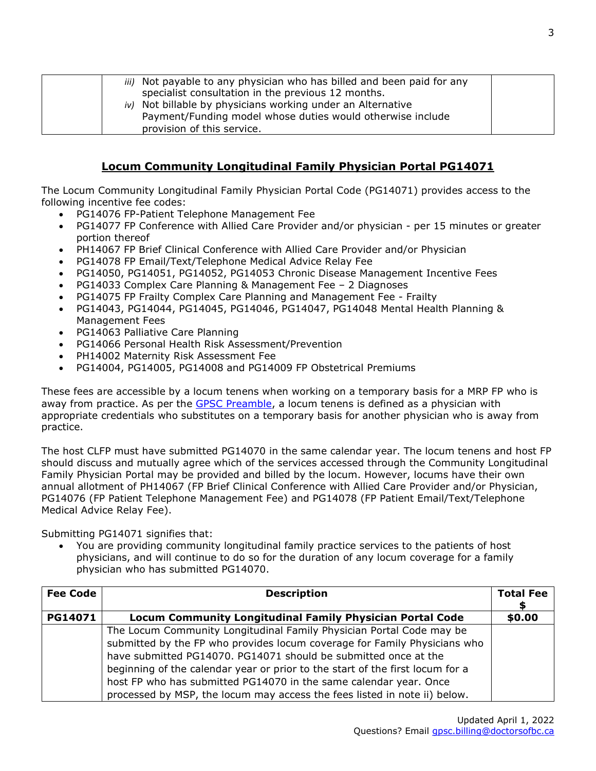| iii) Not payable to any physician who has billed and been paid for any |  |
|------------------------------------------------------------------------|--|
| specialist consultation in the previous 12 months.                     |  |
| iv) Not billable by physicians working under an Alternative            |  |
| Payment/Funding model whose duties would otherwise include             |  |
| provision of this service.                                             |  |

### **Locum Community Longitudinal Family Physician Portal PG14071**

The Locum Community Longitudinal Family Physician Portal Code (PG14071) provides access to the following incentive fee codes:

- PG14076 FP-Patient Telephone Management Fee
- PG14077 FP Conference with Allied Care Provider and/or physician per 15 minutes or greater portion thereof
- PH14067 FP Brief Clinical Conference with Allied Care Provider and/or Physician
- PG14078 FP Email/Text/Telephone Medical Advice Relay Fee
- PG14050, PG14051, PG14052, PG14053 Chronic Disease Management Incentive Fees
- PG14033 Complex Care Planning & Management Fee 2 Diagnoses
- PG14075 FP Frailty Complex Care Planning and Management Fee Frailty
- PG14043, PG14044, PG14045, PG14046, PG14047, PG14048 Mental Health Planning & Management Fees
- PG14063 Palliative Care Planning
- PG14066 Personal Health Risk Assessment/Prevention
- PH14002 Maternity Risk Assessment Fee
- PG14004, PG14005, PG14008 and PG14009 FP Obstetrical Premiums

These fees are accessible by a locum tenens when working on a temporary basis for a MRP FP who is away from practice. As per the [GPSC Preamble,](https://gpscbc.ca/sites/default/files/uploads/GPSC_Preamble-Billing-Guide_20211001.pdf) a locum tenens is defined as a physician with appropriate credentials who substitutes on a temporary basis for another physician who is away from practice.

The host CLFP must have submitted PG14070 in the same calendar year. The locum tenens and host FP should discuss and mutually agree which of the services accessed through the Community Longitudinal Family Physician Portal may be provided and billed by the locum. However, locums have their own annual allotment of PH14067 (FP Brief Clinical Conference with Allied Care Provider and/or Physician, PG14076 (FP Patient Telephone Management Fee) and PG14078 (FP Patient Email/Text/Telephone Medical Advice Relay Fee).

Submitting PG14071 signifies that:

• You are providing community longitudinal family practice services to the patients of host physicians, and will continue to do so for the duration of any locum coverage for a family physician who has submitted PG14070.

| <b>Fee Code</b> | <b>Description</b>                                                                                                                                                                                                                                                                                                                                                                                                                                      | <b>Total Fee</b> |
|-----------------|---------------------------------------------------------------------------------------------------------------------------------------------------------------------------------------------------------------------------------------------------------------------------------------------------------------------------------------------------------------------------------------------------------------------------------------------------------|------------------|
| PG14071         | <b>Locum Community Longitudinal Family Physician Portal Code</b>                                                                                                                                                                                                                                                                                                                                                                                        | \$0.00           |
|                 | The Locum Community Longitudinal Family Physician Portal Code may be<br>submitted by the FP who provides locum coverage for Family Physicians who<br>have submitted PG14070. PG14071 should be submitted once at the<br>beginning of the calendar year or prior to the start of the first locum for a<br>host FP who has submitted PG14070 in the same calendar year. Once<br>processed by MSP, the locum may access the fees listed in note ii) below. |                  |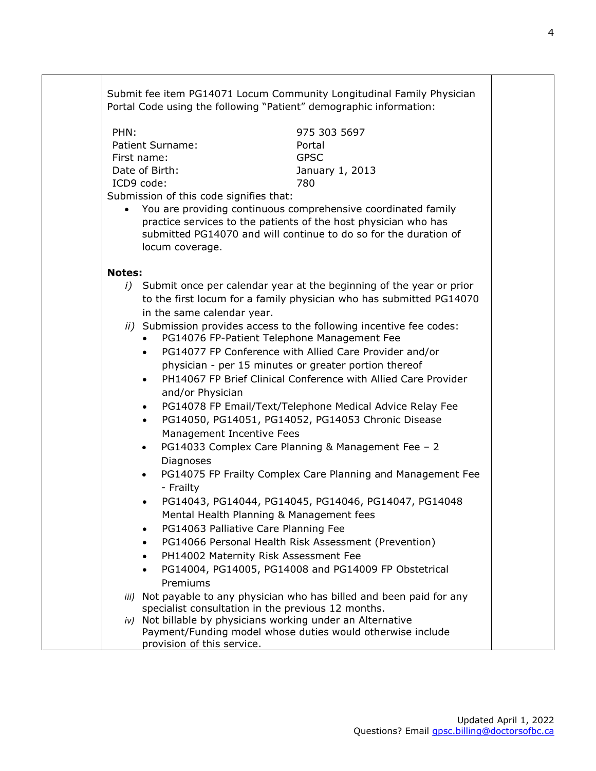Submit fee item PG14071 Locum Community Longitudinal Family Physician Portal Code using the following "Patient" demographic information: PHN: Patient Surname: First name: Date of Birth: ICD9 code: 975 303 5697 Portal GPSC January 1, 2013 780 Submission of this code signifies that: • You are providing continuous comprehensive coordinated family practice services to the patients of the host physician who has submitted PG14070 and will continue to do so for the duration of locum coverage. **Notes:**  *i)* Submit once per calendar year at the beginning of the year or prior to the first locum for a family physician who has submitted PG14070 in the same calendar year. *ii)* Submission provides access to the following incentive fee codes: • PG14076 FP-Patient Telephone Management Fee • PG14077 FP Conference with Allied Care Provider and/or physician - per 15 minutes or greater portion thereof • PH14067 FP Brief Clinical Conference with Allied Care Provider and/or Physician • PG14078 FP Email/Text/Telephone Medical Advice Relay Fee • PG14050, PG14051, PG14052, PG14053 Chronic Disease Management Incentive Fees • PG14033 Complex Care Planning & Management Fee – 2 Diagnoses • PG14075 FP Frailty Complex Care Planning and Management Fee - Frailty • PG14043, PG14044, PG14045, PG14046, PG14047, PG14048 Mental Health Planning & Management fees • PG14063 Palliative Care Planning Fee • PG14066 Personal Health Risk Assessment (Prevention) • PH14002 Maternity Risk Assessment Fee • PG14004, PG14005, PG14008 and PG14009 FP Obstetrical Premiums *iii)* Not payable to any physician who has billed and been paid for any specialist consultation in the previous 12 months. *iv)* Not billable by physicians working under an Alternative Payment/Funding model whose duties would otherwise include provision of this service.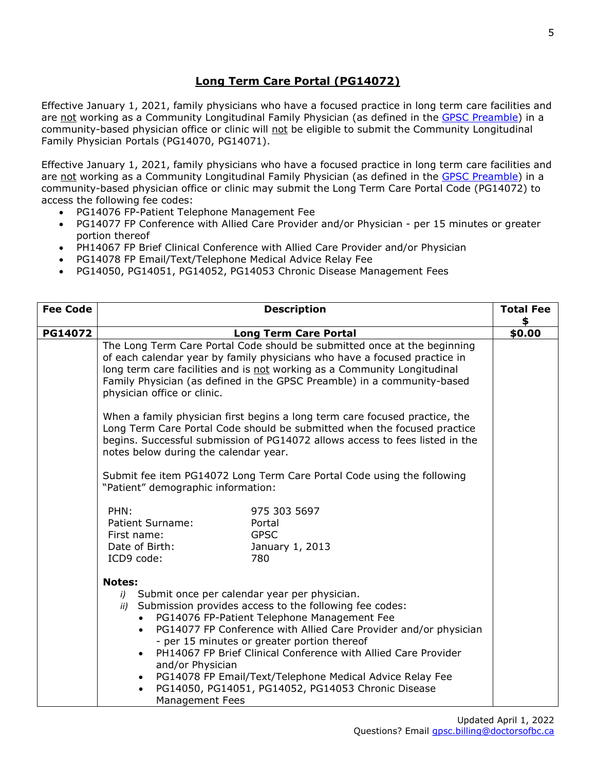# **Long Term Care Portal (PG14072)**

Effective January 1, 2021, family physicians who have a focused practice in long term care facilities and are not working as a Community Longitudinal Family Physician (as defined in the [GPSC Preamble\)](https://gpscbc.ca/sites/default/files/uploads/GPSC_Preamble-Billing-Guide_20211001.pdf) in a community-based physician office or clinic will not be eligible to submit the Community Longitudinal Family Physician Portals (PG14070, PG14071).

Effective January 1, 2021, family physicians who have a focused practice in long term care facilities and are not working as a Community Longitudinal Family Physician (as defined in the [GPSC Preamble\)](https://gpscbc.ca/sites/default/files/uploads/GPSC_Preamble-Billing-Guide_20211001.pdf) in a community-based physician office or clinic may submit the Long Term Care Portal Code (PG14072) to access the following fee codes:

- PG14076 FP-Patient Telephone Management Fee
- PG14077 FP Conference with Allied Care Provider and/or Physician per 15 minutes or greater portion thereof
- PH14067 FP Brief Clinical Conference with Allied Care Provider and/or Physician
- PG14078 FP Email/Text/Telephone Medical Advice Relay Fee
- PG14050, PG14051, PG14052, PG14053 Chronic Disease Management Fees

| <b>Fee Code</b> | <b>Description</b>                                                                                                                                                                                                                                                                                                                          |                                                                                                                                                                                                                                                      | <b>Total Fee</b> |
|-----------------|---------------------------------------------------------------------------------------------------------------------------------------------------------------------------------------------------------------------------------------------------------------------------------------------------------------------------------------------|------------------------------------------------------------------------------------------------------------------------------------------------------------------------------------------------------------------------------------------------------|------------------|
|                 |                                                                                                                                                                                                                                                                                                                                             |                                                                                                                                                                                                                                                      | \$               |
| PG14072         | <b>Long Term Care Portal</b>                                                                                                                                                                                                                                                                                                                |                                                                                                                                                                                                                                                      | \$0.00           |
|                 | The Long Term Care Portal Code should be submitted once at the beginning<br>of each calendar year by family physicians who have a focused practice in<br>long term care facilities and is not working as a Community Longitudinal<br>Family Physician (as defined in the GPSC Preamble) in a community-based<br>physician office or clinic. |                                                                                                                                                                                                                                                      |                  |
|                 | When a family physician first begins a long term care focused practice, the<br>Long Term Care Portal Code should be submitted when the focused practice<br>begins. Successful submission of PG14072 allows access to fees listed in the<br>notes below during the calendar year.                                                            |                                                                                                                                                                                                                                                      |                  |
|                 | Submit fee item PG14072 Long Term Care Portal Code using the following<br>"Patient" demographic information:                                                                                                                                                                                                                                |                                                                                                                                                                                                                                                      |                  |
|                 | PHN:<br>975 303 5697<br>Patient Surname:<br>Portal<br><b>GPSC</b><br>First name:<br>Date of Birth:<br>January 1, 2013<br>ICD9 code:<br>780                                                                                                                                                                                                  |                                                                                                                                                                                                                                                      |                  |
|                 | <b>Notes:</b><br>i) Submit once per calendar year per physician.<br>ii) Submission provides access to the following fee codes:<br>PG14076 FP-Patient Telephone Management Fee<br>$\bullet$<br>- per 15 minutes or greater portion thereof<br>and/or Physician<br>$\bullet$<br><b>Management Fees</b>                                        | PG14077 FP Conference with Allied Care Provider and/or physician<br>PH14067 FP Brief Clinical Conference with Allied Care Provider<br>PG14078 FP Email/Text/Telephone Medical Advice Relay Fee<br>PG14050, PG14051, PG14052, PG14053 Chronic Disease |                  |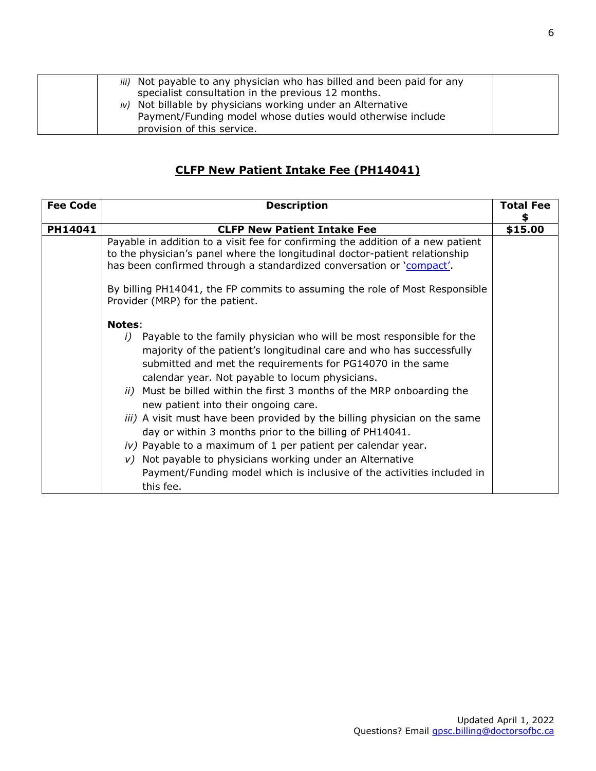| <i>iii</i> ) Not payable to any physician who has billed and been paid for any<br>specialist consultation in the previous 12 months.<br>iv) Not billable by physicians working under an Alternative<br>Payment/Funding model whose duties would otherwise include<br>provision of this service. |  |
|-------------------------------------------------------------------------------------------------------------------------------------------------------------------------------------------------------------------------------------------------------------------------------------------------|--|
|-------------------------------------------------------------------------------------------------------------------------------------------------------------------------------------------------------------------------------------------------------------------------------------------------|--|

# **CLFP New Patient Intake Fee (PH14041)**

| <b>Fee Code</b> | <b>Description</b>                                                                                                                                                                                                                                                                                                                                                                                                                                                                                                                                                                                                                                                                                                                                                            | <b>Total Fee</b><br>\$ |
|-----------------|-------------------------------------------------------------------------------------------------------------------------------------------------------------------------------------------------------------------------------------------------------------------------------------------------------------------------------------------------------------------------------------------------------------------------------------------------------------------------------------------------------------------------------------------------------------------------------------------------------------------------------------------------------------------------------------------------------------------------------------------------------------------------------|------------------------|
| PH14041         | <b>CLFP New Patient Intake Fee</b>                                                                                                                                                                                                                                                                                                                                                                                                                                                                                                                                                                                                                                                                                                                                            |                        |
|                 | Payable in addition to a visit fee for confirming the addition of a new patient<br>to the physician's panel where the longitudinal doctor-patient relationship<br>has been confirmed through a standardized conversation or 'compact'.<br>By billing PH14041, the FP commits to assuming the role of Most Responsible<br>Provider (MRP) for the patient.                                                                                                                                                                                                                                                                                                                                                                                                                      | \$15.00                |
|                 | <b>Notes:</b><br>Payable to the family physician who will be most responsible for the<br>i)<br>majority of the patient's longitudinal care and who has successfully<br>submitted and met the requirements for PG14070 in the same<br>calendar year. Not payable to locum physicians.<br>ii) Must be billed within the first 3 months of the MRP onboarding the<br>new patient into their ongoing care.<br><i>iii</i> ) A visit must have been provided by the billing physician on the same<br>day or within 3 months prior to the billing of PH14041.<br>iv) Payable to a maximum of 1 per patient per calendar year.<br>Not payable to physicians working under an Alternative<br>V)<br>Payment/Funding model which is inclusive of the activities included in<br>this fee. |                        |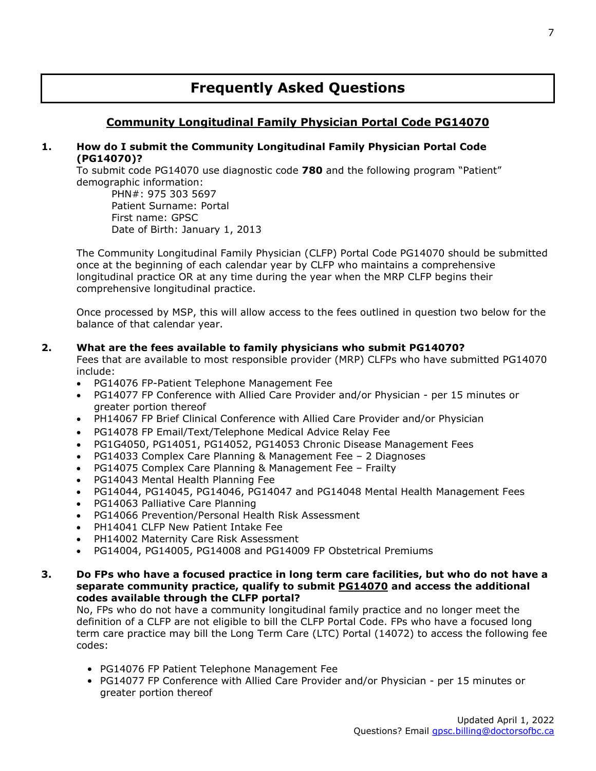# **Frequently Asked Questions**

## **Community Longitudinal Family Physician Portal Code PG14070**

#### **1. How do I submit the Community Longitudinal Family Physician Portal Code (PG14070)?**

To submit code PG14070 use diagnostic code **780** and the following program "Patient" demographic information:

PHN#: 975 303 5697 Patient Surname: Portal First name: GPSC Date of Birth: January 1, 2013

The Community Longitudinal Family Physician (CLFP) Portal Code PG14070 should be submitted once at the beginning of each calendar year by CLFP who maintains a comprehensive longitudinal practice OR at any time during the year when the MRP CLFP begins their comprehensive longitudinal practice.

Once processed by MSP, this will allow access to the fees outlined in question two below for the balance of that calendar year.

#### **2. What are the fees available to family physicians who submit PG14070?**

Fees that are available to most responsible provider (MRP) CLFPs who have submitted PG14070 include:

- PG14076 FP-Patient Telephone Management Fee
- PG14077 FP Conference with Allied Care Provider and/or Physician per 15 minutes or greater portion thereof
- PH14067 FP Brief Clinical Conference with Allied Care Provider and/or Physician
- PG14078 FP Email/Text/Telephone Medical Advice Relay Fee
- PG1G4050, PG14051, PG14052, PG14053 Chronic Disease Management Fees
- PG14033 Complex Care Planning & Management Fee 2 Diagnoses
- PG14075 Complex Care Planning & Management Fee Frailty
- PG14043 Mental Health Planning Fee
- PG14044, PG14045, PG14046, PG14047 and PG14048 Mental Health Management Fees
- PG14063 Palliative Care Planning
- PG14066 Prevention/Personal Health Risk Assessment
- PH14041 CLFP New Patient Intake Fee
- PH14002 Maternity Care Risk Assessment
- PG14004, PG14005, PG14008 and PG14009 FP Obstetrical Premiums
- **3. Do FPs who have a focused practice in long term care facilities, but who do not have a separate community practice, qualify to submit P[G14070](https://bcfamilydocs.ca/fee/gpsc-portal-code/) and access the additional codes available through the CLFP portal?**

No, FPs who do not have a community longitudinal family practice and no longer meet the definition of a CLFP are not eligible to bill the CLFP Portal Code. FPs who have a focused long term care practice may bill the Long Term Care (LTC) Portal (14072) to access the following fee codes:

- PG14076 FP Patient Telephone Management Fee
- PG14077 FP Conference with Allied Care Provider and/or Physician per 15 minutes or greater portion thereof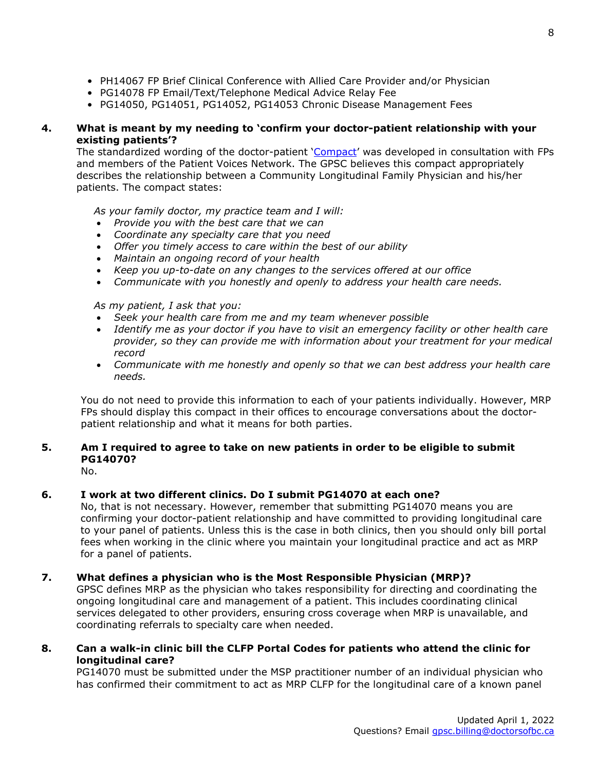- PH14067 FP Brief Clinical Conference with Allied Care Provider and/or Physician
- PG14078 FP Email/Text/Telephone Medical Advice Relay Fee
- PG14050, PG14051, PG14052, PG14053 Chronic Disease Management Fees

#### **4. What is meant by my needing to 'confirm your doctor-patient relationship with your existing patients'?**

The standardized wording of the doctor-patient ['Compact'](https://gpscbc.ca/sites/default/files/uploads/Incentive%20Program%20Compact%20Family%20physician-patient%20%28ID%20269971%29.pdf) was developed in consultation with FPs and members of the Patient Voices Network. The GPSC believes this compact appropriately describes the relationship between a Community Longitudinal Family Physician and his/her patients. The compact states:

*As your family doctor, my practice team and I will:*

- *Provide you with the best care that we can*
- *Coordinate any specialty care that you need*
- *Offer you timely access to care within the best of our ability*
- *Maintain an ongoing record of your health*
- *Keep you up-to-date on any changes to the services offered at our office*
- *Communicate with you honestly and openly to address your health care needs.*

*As my patient, I ask that you:*

- *Seek your health care from me and my team whenever possible*
- *Identify me as your doctor if you have to visit an emergency facility or other health care provider, so they can provide me with information about your treatment for your medical record*
- *Communicate with me honestly and openly so that we can best address your health care needs.*

You do not need to provide this information to each of your patients individually. However, MRP FPs should display this compact in their offices to encourage conversations about the doctorpatient relationship and what it means for both parties.

### **5. Am I required to agree to take on new patients in order to be eligible to submit PG14070?**

No.

#### **6. I work at two different clinics. Do I submit PG14070 at each one?**

No, that is not necessary. However, remember that submitting PG14070 means you are confirming your doctor-patient relationship and have committed to providing longitudinal care to your panel of patients. Unless this is the case in both clinics, then you should only bill portal fees when working in the clinic where you maintain your longitudinal practice and act as MRP for a panel of patients.

#### **7. What defines a physician who is the Most Responsible Physician (MRP)?**

GPSC defines MRP as the physician who takes responsibility for directing and coordinating the ongoing longitudinal care and management of a patient. This includes coordinating clinical services delegated to other providers, ensuring cross coverage when MRP is unavailable, and coordinating referrals to specialty care when needed.

#### **8. Can a walk-in clinic bill the CLFP Portal Codes for patients who attend the clinic for longitudinal care?**

PG14070 must be submitted under the MSP practitioner number of an individual physician who has confirmed their commitment to act as MRP CLFP for the longitudinal care of a known panel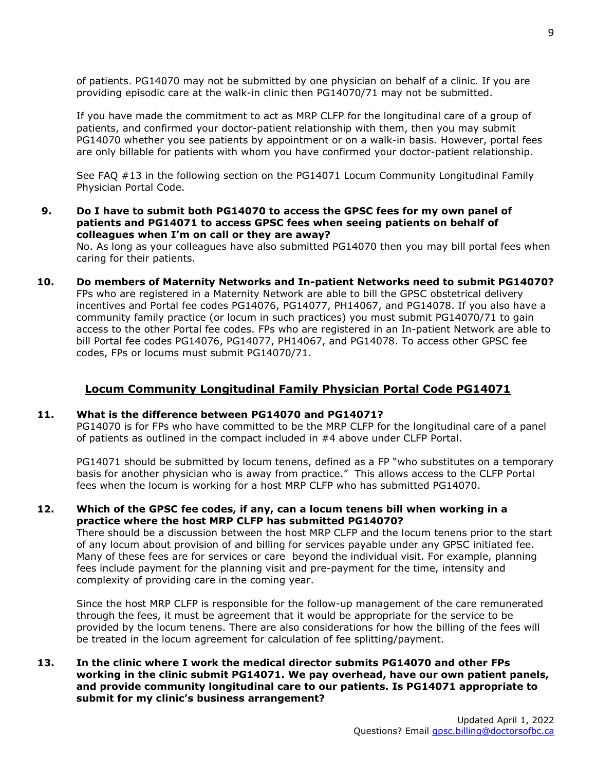of patients. PG14070 may not be submitted by one physician on behalf of a clinic. If you are providing episodic care at the walk-in clinic then PG14070/71 may not be submitted.

If you have made the commitment to act as MRP CLFP for the longitudinal care of a group of patients, and confirmed your doctor-patient relationship with them, then you may submit PG14070 whether you see patients by appointment or on a walk-in basis. However, portal fees are only billable for patients with whom you have confirmed your doctor-patient relationship.

See FAQ #13 in the following section on the PG14071 Locum Community Longitudinal Family Physician Portal Code.

**9. Do I have to submit both PG14070 to access the GPSC fees for my own panel of patients and PG14071 to access GPSC fees when seeing patients on behalf of colleagues when I'm on call or they are away?**

No. As long as your colleagues have also submitted PG14070 then you may bill portal fees when caring for their patients.

**10. Do members of Maternity Networks and In-patient Networks need to submit PG14070?**  FPs who are registered in a Maternity Network are able to bill the GPSC obstetrical delivery incentives and Portal fee codes PG14076, PG14077, PH14067, and PG14078. If you also have a community family practice (or locum in such practices) you must submit PG14070/71 to gain access to the other Portal fee codes. FPs who are registered in an In-patient Network are able to bill Portal fee codes PG14076, PG14077, PH14067, and PG14078. To access other GPSC fee codes, FPs or locums must submit PG14070/71.

#### **Locum Community Longitudinal Family Physician Portal Code PG14071**

#### **11. What is the difference between PG14070 and PG14071?**

PG14070 is for FPs who have committed to be the MRP CLFP for the longitudinal care of a panel of patients as outlined in the compact included in #4 above under CLFP Portal.

PG14071 should be submitted by locum tenens, defined as a FP "who substitutes on a temporary basis for another physician who is away from practice." This allows access to the CLFP Portal fees when the locum is working for a host MRP CLFP who has submitted PG14070.

**12. Which of the GPSC fee codes, if any, can a locum tenens bill when working in a practice where the host MRP CLFP has submitted PG14070?** 

There should be a discussion between the host MRP CLFP and the locum tenens prior to the start of any locum about provision of and billing for services payable under any GPSC initiated fee. Many of these fees are for services or care beyond the individual visit. For example, planning fees include payment for the planning visit and pre-payment for the time, intensity and complexity of providing care in the coming year.

Since the host MRP CLFP is responsible for the follow-up management of the care remunerated through the fees, it must be agreement that it would be appropriate for the service to be provided by the locum tenens. There are also considerations for how the billing of the fees will be treated in the locum agreement for calculation of fee splitting/payment.

**13. In the clinic where I work the medical director submits PG14070 and other FPs working in the clinic submit PG14071. We pay overhead, have our own patient panels, and provide community longitudinal care to our patients. Is PG14071 appropriate to submit for my clinic's business arrangement?**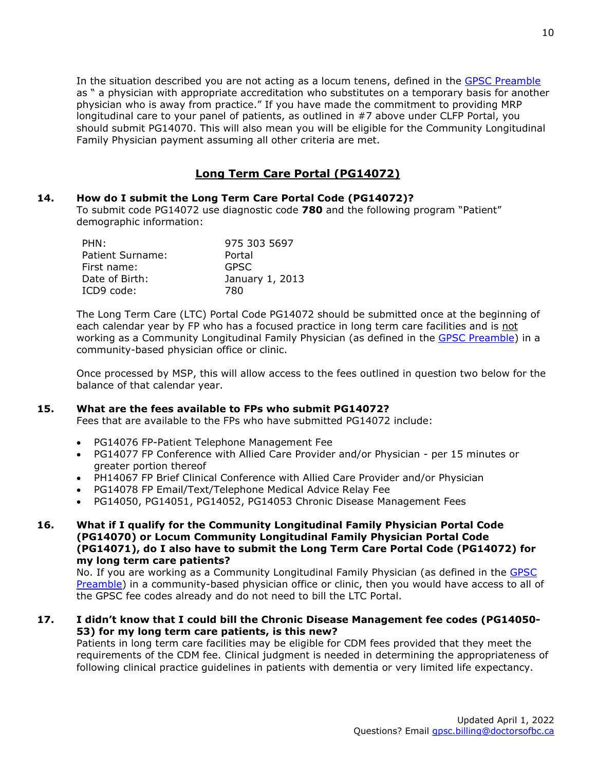In the situation described you are not acting as a locum tenens, defined in the [GPSC Preamble](https://gpscbc.ca/sites/default/files/uploads/GPSC_Preamble-Billing-Guide_20211001.pdf) as " a physician with appropriate accreditation who substitutes on a temporary basis for another physician who is away from practice." If you have made the commitment to providing MRP longitudinal care to your panel of patients, as outlined in #7 above under CLFP Portal, you should submit PG14070. This will also mean you will be eligible for the Community Longitudinal Family Physician payment assuming all other criteria are met.

# **Long Term Care Portal (PG14072)**

#### **14. How do I submit the Long Term Care Portal Code (PG14072)?**

To submit code PG14072 use diagnostic code **780** and the following program "Patient" demographic information:

| PHN:             | 975 303 5697    |
|------------------|-----------------|
| Patient Surname: | Portal          |
| First name:      | <b>GPSC</b>     |
| Date of Birth:   | January 1, 2013 |
| ICD9 code:       | 780             |

The Long Term Care (LTC) Portal Code PG14072 should be submitted once at the beginning of each calendar year by FP who has a focused practice in long term care facilities and is not working as a Community Longitudinal Family Physician (as defined in the [GPSC Preamble\)](https://gpscbc.ca/sites/default/files/uploads/GPSC_Preamble-Billing-Guide_20211001.pdf) in a community-based physician office or clinic.

Once processed by MSP, this will allow access to the fees outlined in question two below for the balance of that calendar year.

#### **15. What are the fees available to FPs who submit PG14072?**

Fees that are available to the FPs who have submitted PG14072 include:

- PG14076 FP-Patient Telephone Management Fee
- PG14077 FP Conference with Allied Care Provider and/or Physician per 15 minutes or greater portion thereof
- PH14067 FP Brief Clinical Conference with Allied Care Provider and/or Physician
- PG14078 FP Email/Text/Telephone Medical Advice Relay Fee
- PG14050, PG14051, PG14052, PG14053 Chronic Disease Management Fees

#### **16. What if I qualify for the Community Longitudinal Family Physician Portal Code (PG14070) or Locum Community Longitudinal Family Physician Portal Code (PG14071), do I also have to submit the Long Term Care Portal Code (PG14072) for my long term care patients?**

No. If you are working as a Community Longitudinal Family Physician (as defined in the [GPSC](https://gpscbc.ca/sites/default/files/uploads/GPSC_Preamble-Billing-Guide_20211001.pdf)  [Preamble\)](https://gpscbc.ca/sites/default/files/uploads/GPSC_Preamble-Billing-Guide_20211001.pdf) in a community-based physician office or clinic, then you would have access to all of the GPSC fee codes already and do not need to bill the LTC Portal.

#### **17. I didn't know that I could bill the Chronic Disease Management fee codes (PG14050- 53) for my long term care patients, is this new?**

Patients in long term care facilities may be eligible for CDM fees provided that they meet the requirements of the CDM fee. Clinical judgment is needed in determining the appropriateness of following clinical practice guidelines in patients with dementia or very limited life expectancy.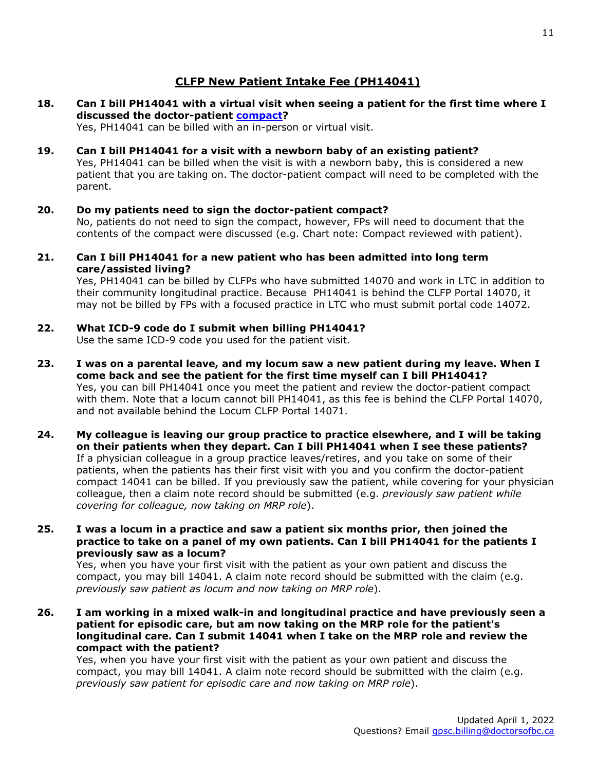## **CLFP New Patient Intake Fee (PH14041)**

**18. Can I bill PH14041 with a virtual visit when seeing a patient for the first time where I discussed the doctor-patient [compact?](https://gpscbc.ca/sites/default/files/uploads/Incentive%20Program%20Compact%20Family%20physician-patient%20%28ID%20269971%29.pdf)** 

Yes, PH14041 can be billed with an in-person or virtual visit.

**19. Can I bill PH14041 for a visit with a newborn baby of an existing patient?**

Yes, PH14041 can be billed when the visit is with a newborn baby, this is considered a new patient that you are taking on. The doctor-patient compact will need to be completed with the parent.

**20. Do my patients need to sign the doctor-patient compact?** 

No, patients do not need to sign the compact, however, FPs will need to document that the contents of the compact were discussed (e.g. Chart note: Compact reviewed with patient).

**21. Can I bill PH14041 for a new patient who has been admitted into long term care/assisted living?**

Yes, PH14041 can be billed by CLFPs who have submitted 14070 and work in LTC in addition to their community longitudinal practice. Because PH14041 is behind the CLFP Portal 14070, it may not be billed by FPs with a focused practice in LTC who must submit portal code 14072.

**22. What ICD-9 code do I submit when billing PH14041?**

Use the same ICD-9 code you used for the patient visit.

- **23. I was on a parental leave, and my locum saw a new patient during my leave. When I come back and see the patient for the first time myself can I bill PH14041?**  Yes, you can bill PH14041 once you meet the patient and review the doctor-patient compact with them. Note that a locum cannot bill PH14041, as this fee is behind the CLFP Portal 14070, and not available behind the Locum CLFP Portal 14071.
- **24. My colleague is leaving our group practice to practice elsewhere, and I will be taking on their patients when they depart. Can I bill PH14041 when I see these patients?** If a physician colleague in a group practice leaves/retires, and you take on some of their patients, when the patients has their first visit with you and you confirm the doctor-patient compact 14041 can be billed. If you previously saw the patient, while covering for your physician colleague, then a claim note record should be submitted (e.g. *previously saw patient while covering for colleague, now taking on MRP role*).
- **25. I was a locum in a practice and saw a patient six months prior, then joined the practice to take on a panel of my own patients. Can I bill PH14041 for the patients I previously saw as a locum?**

Yes, when you have your first visit with the patient as your own patient and discuss the compact, you may bill 14041. A claim note record should be submitted with the claim (e.g. *previously saw patient as locum and now taking on MRP role*).

**26. I am working in a mixed walk-in and longitudinal practice and have previously seen a patient for episodic care, but am now taking on the MRP role for the patient's longitudinal care. Can I submit 14041 when I take on the MRP role and review the compact with the patient?**

Yes, when you have your first visit with the patient as your own patient and discuss the compact, you may bill 14041. A claim note record should be submitted with the claim (e.g. *previously saw patient for episodic care and now taking on MRP role*).